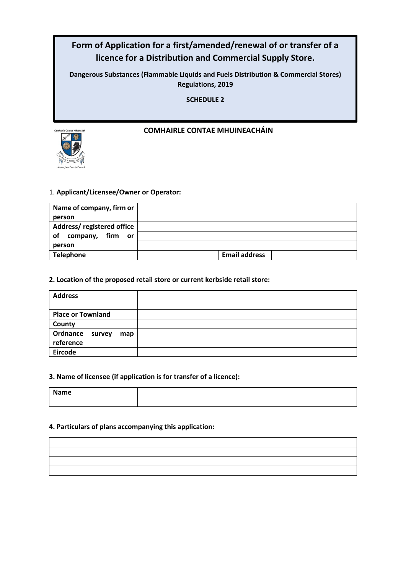# **Form of Application for a first/amended/renewal of or transfer of a licence for a Distribution and Commercial Supply Store.**

**Dangerous Substances (Flammable Liquids and Fuels Distribution & Commercial Stores) Regulations, 2019**

**SCHEDULE 2**

# **COMHAIRLE CONTAE MHUINEACHÁIN**



# 1. **Applicant/Licensee/Owner or Operator:**

| Name of company, firm or  |                      |
|---------------------------|----------------------|
| person                    |                      |
| Address/registered office |                      |
| of<br>company, firm or    |                      |
| person                    |                      |
| <b>Telephone</b>          | <b>Email address</b> |

### **2. Location of the proposed retail store or current kerbside retail store:**

| <b>Address</b>           |  |
|--------------------------|--|
|                          |  |
| <b>Place or Townland</b> |  |
| County                   |  |
| Ordnance survey<br>map   |  |
| reference                |  |
| <b>Eircode</b>           |  |

### **3. Name of licensee (if application is for transfer of a licence):**

| Name<br>_____ |  |
|---------------|--|
|               |  |

### **4. Particulars of plans accompanying this application:**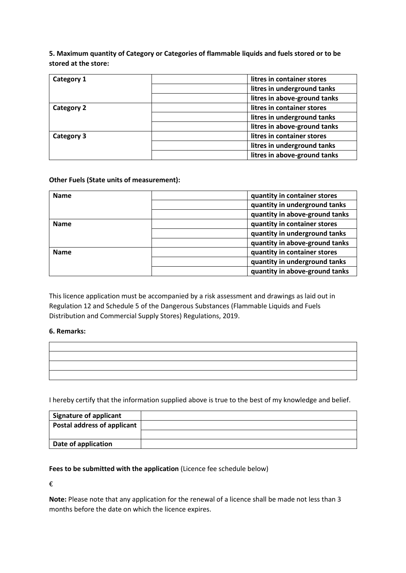**5. Maximum quantity of Category or Categories of flammable liquids and fuels stored or to be stored at the store:**

| Category 1        | litres in container stores   |
|-------------------|------------------------------|
|                   | litres in underground tanks  |
|                   | litres in above-ground tanks |
| <b>Category 2</b> | litres in container stores   |
|                   | litres in underground tanks  |
|                   | litres in above-ground tanks |
| Category 3        | litres in container stores   |
|                   | litres in underground tanks  |
|                   | litres in above-ground tanks |

### **Other Fuels (State units of measurement):**

| <b>Name</b> | quantity in container stores   |
|-------------|--------------------------------|
|             | quantity in underground tanks  |
|             | quantity in above-ground tanks |
| <b>Name</b> | quantity in container stores   |
|             | quantity in underground tanks  |
|             | quantity in above-ground tanks |
| <b>Name</b> | quantity in container stores   |
|             | quantity in underground tanks  |
|             | quantity in above-ground tanks |

This licence application must be accompanied by a risk assessment and drawings as laid out in Regulation 12 and Schedule 5 of the Dangerous Substances (Flammable Liquids and Fuels Distribution and Commercial Supply Stores) Regulations, 2019.

### **6. Remarks:**

I hereby certify that the information supplied above is true to the best of my knowledge and belief.

| <b>Signature of applicant</b> |  |
|-------------------------------|--|
| Postal address of applicant   |  |
|                               |  |
| Date of application           |  |

### **Fees to be submitted with the application** (Licence fee schedule below)

€

**Note:** Please note that any application for the renewal of a licence shall be made not less than 3 months before the date on which the licence expires.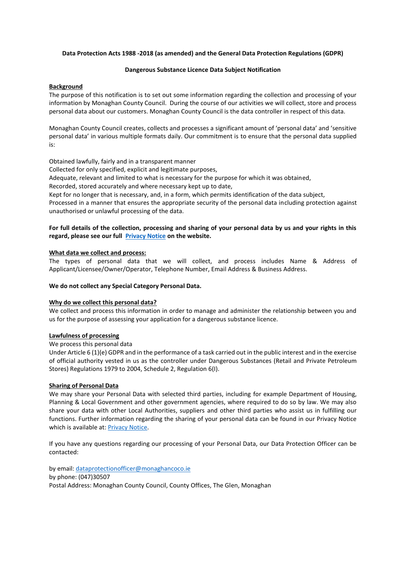#### **Data Protection Acts 1988 -2018 (as amended) and the General Data Protection Regulations (GDPR)**

#### **Dangerous Substance Licence Data Subject Notification**

#### **Background**

The purpose of this notification is to set out some information regarding the collection and processing of your information by Monaghan County Council. During the course of our activities we will collect, store and process personal data about our customers. Monaghan County Council is the data controller in respect of this data.

Monaghan County Council creates, collects and processes a significant amount of 'personal data' and 'sensitive personal data' in various multiple formats daily. Our commitment is to ensure that the personal data supplied is:

Obtained lawfully, fairly and in a transparent manner

Collected for only specified, explicit and legitimate purposes,

Adequate, relevant and limited to what is necessary for the purpose for which it was obtained,

Recorded, stored accurately and where necessary kept up to date,

Kept for no longer that is necessary, and, in a form, which permits identification of the data subject,

Processed in a manner that ensures the appropriate security of the personal data including protection against unauthorised or unlawful processing of the data.

#### **For full details of the collection, processing and sharing of your personal data by us and your rights in this regard, please see our full [Privacy Notice](https://monaghan.ie/privacy-notice/) on the website.**

#### **What data we collect and process:**

The types of personal data that we will collect, and process includes Name & Address of Applicant/Licensee/Owner/Operator, Telephone Number, Email Address & Business Address.

#### **We do not collect any Special Category Personal Data.**

#### **Why do we collect this personal data?**

We collect and process this information in order to manage and administer the relationship between you and us for the purpose of assessing your application for a dangerous substance licence.

#### **Lawfulness of processing**

We process this personal data

Under Article 6 (1)(e) GDPR and in the performance of a task carried out in the public interest and in the exercise of official authority vested in us as the controller under Dangerous Substances (Retail and Private Petroleum Stores) Regulations 1979 to 2004, Schedule 2, Regulation 6(I).

#### **Sharing of Personal Data**

We may share your Personal Data with selected third parties, including for example Department of Housing, Planning & Local Government and other government agencies, where required to do so by law. We may also share your data with other Local Authorities, suppliers and other third parties who assist us in fulfilling our functions. Further information regarding the sharing of your personal data can be found in our Privacy Notice which is available at: **Privacy Notice**.

If you have any questions regarding our processing of your Personal Data, our Data Protection Officer can be contacted:

by email: [dataprotectionofficer@monaghancoco.ie](mailto:dataprotectionofficer@monaghancoco.ie) by phone: (047)30507 Postal Address: Monaghan County Council, County Offices, The Glen, Monaghan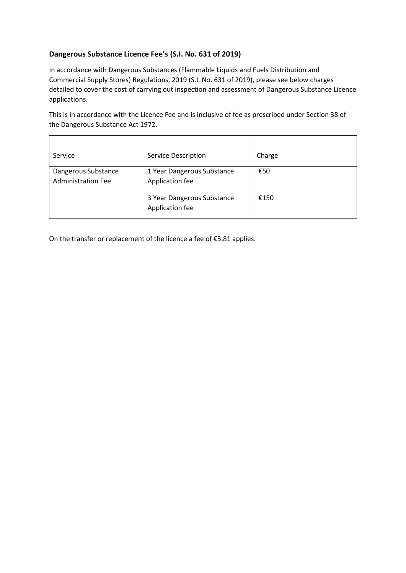# **Dangerous Substance Licence Fee's (S.I. No. 631 of 2019)**

In accordance with Dangerous Substances (Flammable Liquids and Fuels Distribution and Commercial Supply Stores) Regulations, 2019 (S.I. No. 631 of 2019), please see below charges detailed to cover the cost of carrying out inspection and assessment of Dangerous Substance Licence applications.

This is in accordance with the Licence Fee and is inclusive of fee as prescribed under Section 38 of the Dangerous Substance Act 1972.

| Service                                          | <b>Service Description</b>                    | Charge |
|--------------------------------------------------|-----------------------------------------------|--------|
| Dangerous Substance<br><b>Administration Fee</b> | 1 Year Dangerous Substance<br>Application fee | €50    |
|                                                  | 3 Year Dangerous Substance<br>Application fee | €150   |

On the transfer or replacement of the licence a fee of €3.81 applies.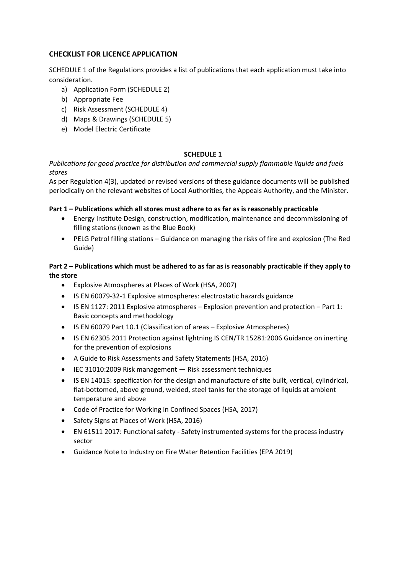## **CHECKLIST FOR LICENCE APPLICATION**

SCHEDULE 1 of the Regulations provides a list of publications that each application must take into consideration.

- a) Application Form (SCHEDULE 2)
- b) Appropriate Fee
- c) Risk Assessment (SCHEDULE 4)
- d) Maps & Drawings (SCHEDULE 5)
- e) Model Electric Certificate

### **SCHEDULE 1**

*Publications for good practice for distribution and commercial supply flammable liquids and fuels stores* 

As per Regulation 4(3), updated or revised versions of these guidance documents will be published periodically on the relevant websites of Local Authorities, the Appeals Authority, and the Minister.

### **Part 1 – Publications which all stores must adhere to as far as is reasonably practicable**

- Energy Institute Design, construction, modification, maintenance and decommissioning of filling stations (known as the Blue Book)
- PELG Petrol filling stations Guidance on managing the risks of fire and explosion (The Red Guide)

### **Part 2 – Publications which must be adhered to as far as is reasonably practicable if they apply to the store**

- Explosive Atmospheres at Places of Work (HSA, 2007)
- IS EN 60079-32-1 Explosive atmospheres: electrostatic hazards guidance
- IS EN 1127: 2011 Explosive atmospheres Explosion prevention and protection Part 1: Basic concepts and methodology
- IS EN 60079 Part 10.1 (Classification of areas Explosive Atmospheres)
- IS EN 62305 2011 Protection against lightning.IS CEN/TR 15281:2006 Guidance on inerting for the prevention of explosions
- A Guide to Risk Assessments and Safety Statements (HSA, 2016)
- IEC 31010:2009 Risk management Risk assessment techniques
- IS EN 14015: specification for the design and manufacture of site built, vertical, cylindrical, flat-bottomed, above ground, welded, steel tanks for the storage of liquids at ambient temperature and above
- Code of Practice for Working in Confined Spaces (HSA, 2017)
- Safety Signs at Places of Work (HSA, 2016)
- EN 61511 2017: Functional safety Safety instrumented systems for the process industry sector
- Guidance Note to Industry on Fire Water Retention Facilities (EPA 2019)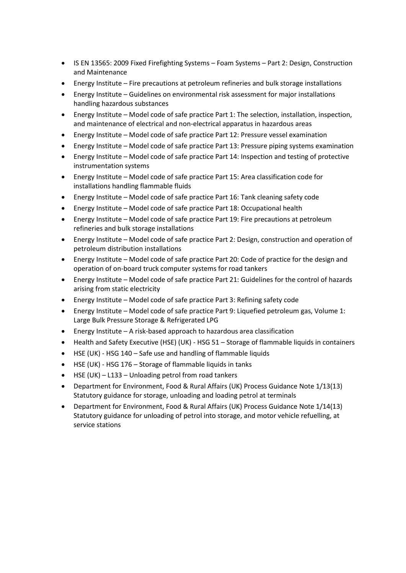- IS EN 13565: 2009 Fixed Firefighting Systems Foam Systems Part 2: Design, Construction and Maintenance
- Energy Institute Fire precautions at petroleum refineries and bulk storage installations
- Energy Institute Guidelines on environmental risk assessment for major installations handling hazardous substances
- Energy Institute Model code of safe practice Part 1: The selection, installation, inspection, and maintenance of electrical and non-electrical apparatus in hazardous areas
- Energy Institute Model code of safe practice Part 12: Pressure vessel examination
- Energy Institute Model code of safe practice Part 13: Pressure piping systems examination
- Energy Institute Model code of safe practice Part 14: Inspection and testing of protective instrumentation systems
- Energy Institute Model code of safe practice Part 15: Area classification code for installations handling flammable fluids
- Energy Institute Model code of safe practice Part 16: Tank cleaning safety code
- Energy Institute Model code of safe practice Part 18: Occupational health
- Energy Institute Model code of safe practice Part 19: Fire precautions at petroleum refineries and bulk storage installations
- Energy Institute Model code of safe practice Part 2: Design, construction and operation of petroleum distribution installations
- Energy Institute Model code of safe practice Part 20: Code of practice for the design and operation of on-board truck computer systems for road tankers
- Energy Institute Model code of safe practice Part 21: Guidelines for the control of hazards arising from static electricity
- Energy Institute Model code of safe practice Part 3: Refining safety code
- Energy Institute Model code of safe practice Part 9: Liquefied petroleum gas, Volume 1: Large Bulk Pressure Storage & Refrigerated LPG
- Energy Institute A risk-based approach to hazardous area classification
- Health and Safety Executive (HSE) (UK) HSG 51 Storage of flammable liquids in containers
- HSE (UK) HSG 140 Safe use and handling of flammable liquids
- HSE (UK) HSG 176 Storage of flammable liquids in tanks
- HSE (UK) L133 Unloading petrol from road tankers
- Department for Environment, Food & Rural Affairs (UK) Process Guidance Note 1/13(13) Statutory guidance for storage, unloading and loading petrol at terminals
- Department for Environment, Food & Rural Affairs (UK) Process Guidance Note 1/14(13) Statutory guidance for unloading of petrol into storage, and motor vehicle refuelling, at service stations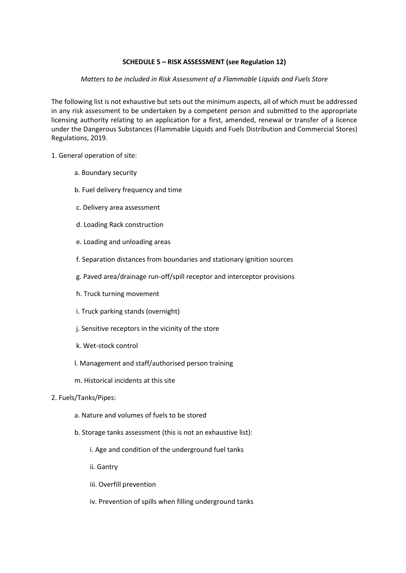### **SCHEDULE 5 – RISK ASSESSMENT (see Regulation 12)**

### *Matters to be included in Risk Assessment of a Flammable Liquids and Fuels Store*

The following list is not exhaustive but sets out the minimum aspects, all of which must be addressed in any risk assessment to be undertaken by a competent person and submitted to the appropriate licensing authority relating to an application for a first, amended, renewal or transfer of a licence under the Dangerous Substances (Flammable Liquids and Fuels Distribution and Commercial Stores) Regulations, 2019.

### 1. General operation of site:

- a. Boundary security
- b. Fuel delivery frequency and time
- c. Delivery area assessment
- d. Loading Rack construction
- e. Loading and unloading areas
- f. Separation distances from boundaries and stationary ignition sources
- g. Paved area/drainage run-off/spill receptor and interceptor provisions
- h. Truck turning movement
- i. Truck parking stands (overnight)
- j. Sensitive receptors in the vicinity of the store
- k. Wet-stock control
- l. Management and staff/authorised person training
- m. Historical incidents at this site
- 2. Fuels/Tanks/Pipes:
	- a. Nature and volumes of fuels to be stored
	- b. Storage tanks assessment (this is not an exhaustive list):
		- i. Age and condition of the underground fuel tanks
		- ii. Gantry
		- iii. Overfill prevention
		- iv. Prevention of spills when filling underground tanks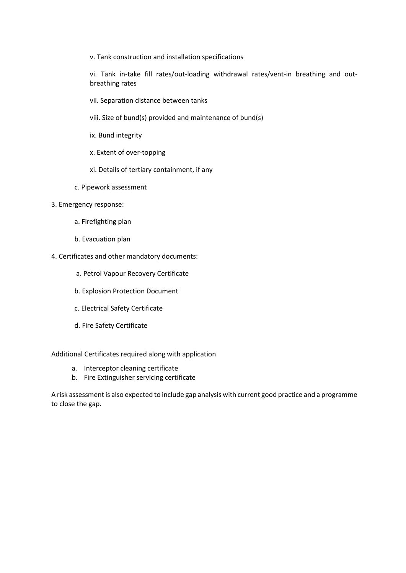v. Tank construction and installation specifications

vi. Tank in-take fill rates/out-loading withdrawal rates/vent-in breathing and outbreathing rates

- vii. Separation distance between tanks
- viii. Size of bund(s) provided and maintenance of bund(s)
- ix. Bund integrity
- x. Extent of over-topping
- xi. Details of tertiary containment, if any
- c. Pipework assessment
- 3. Emergency response:
	- a. Firefighting plan
	- b. Evacuation plan
- 4. Certificates and other mandatory documents:
	- a. Petrol Vapour Recovery Certificate
	- b. Explosion Protection Document
	- c. Electrical Safety Certificate
	- d. Fire Safety Certificate

Additional Certificates required along with application

- a. Interceptor cleaning certificate
- b. Fire Extinguisher servicing certificate

A risk assessment is also expected to include gap analysis with current good practice and a programme to close the gap.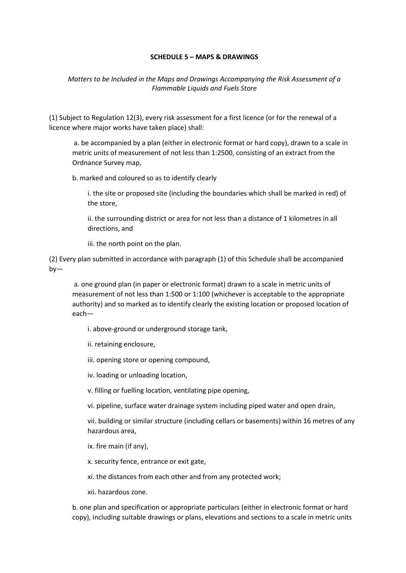### **SCHEDULE 5 – MAPS & DRAWINGS**

*Matters to be Included in the Maps and Drawings Accompanying the Risk Assessment of a Flammable Liquids and Fuels Store* 

(1) Subject to Regulation 12(3), every risk assessment for a first licence (or for the renewal of a licence where major works have taken place) shall:

a. be accompanied by a plan (either in electronic format or hard copy), drawn to a scale in metric units of measurement of not less than 1:2500, consisting of an extract from the Ordnance Survey map,

b. marked and coloured so as to identify clearly

i. the site or proposed site (including the boundaries which shall be marked in red) of the store,

ii. the surrounding district or area for not less than a distance of 1 kilometres in all directions, and

iii. the north point on the plan.

(2) Every plan submitted in accordance with paragraph (1) of this Schedule shall be accompanied by—

a. one ground plan (in paper or electronic format) drawn to a scale in metric units of measurement of not less than 1:500 or 1:100 (whichever is acceptable to the appropriate authority) and so marked as to identify clearly the existing location or proposed location of each—

i. above-ground or underground storage tank,

ii. retaining enclosure,

iii. opening store or opening compound,

iv. loading or unloading location,

v. filling or fuelling location, ventilating pipe opening,

vi. pipeline, surface water drainage system including piped water and open drain,

vii. building or similar structure (including cellars or basements) within 16 metres of any hazardous area,

ix. fire main (if any),

x. security fence, entrance or exit gate,

xi. the distances from each other and from any protected work;

xii. hazardous zone.

b. one plan and specification or appropriate particulars (either in electronic format or hard copy), including suitable drawings or plans, elevations and sections to a scale in metric units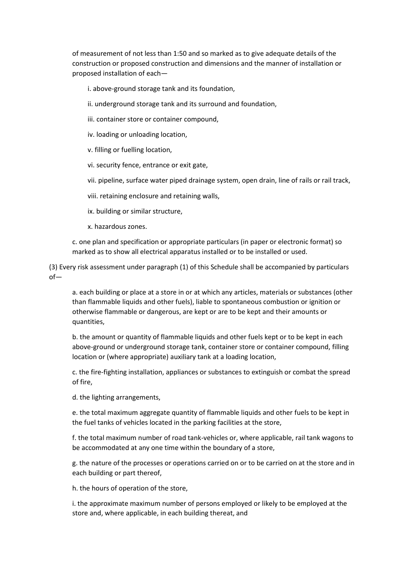of measurement of not less than 1:50 and so marked as to give adequate details of the construction or proposed construction and dimensions and the manner of installation or proposed installation of each—

i. above-ground storage tank and its foundation,

- ii. underground storage tank and its surround and foundation,
- iii. container store or container compound,
- iv. loading or unloading location,
- v. filling or fuelling location,
- vi. security fence, entrance or exit gate,
- vii. pipeline, surface water piped drainage system, open drain, line of rails or rail track,
- viii. retaining enclosure and retaining walls,
- ix. building or similar structure,
- x. hazardous zones.

c. one plan and specification or appropriate particulars (in paper or electronic format) so marked as to show all electrical apparatus installed or to be installed or used.

(3) Every risk assessment under paragraph (1) of this Schedule shall be accompanied by particulars of—

a. each building or place at a store in or at which any articles, materials or substances (other than flammable liquids and other fuels), liable to spontaneous combustion or ignition or otherwise flammable or dangerous, are kept or are to be kept and their amounts or quantities,

b. the amount or quantity of flammable liquids and other fuels kept or to be kept in each above-ground or underground storage tank, container store or container compound, filling location or (where appropriate) auxiliary tank at a loading location,

c. the fire-fighting installation, appliances or substances to extinguish or combat the spread of fire,

d. the lighting arrangements,

e. the total maximum aggregate quantity of flammable liquids and other fuels to be kept in the fuel tanks of vehicles located in the parking facilities at the store,

f. the total maximum number of road tank-vehicles or, where applicable, rail tank wagons to be accommodated at any one time within the boundary of a store,

g. the nature of the processes or operations carried on or to be carried on at the store and in each building or part thereof,

h. the hours of operation of the store,

i. the approximate maximum number of persons employed or likely to be employed at the store and, where applicable, in each building thereat, and